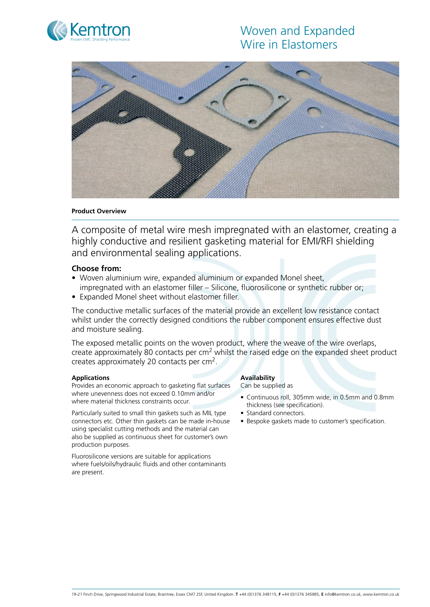# Woven and Expanded Wire in Elastomers





### **Product Overview**

A composite of metal wire mesh impregnated with an elastomer, creating a highly conductive and resilient gasketing material for EMI/RFI shielding and environmental sealing applications.

## **Choose from:**

- Woven aluminium wire, expanded aluminium or expanded Monel sheet, impregnated with an elastomer filler – Silicone, fluorosilicone or synthetic rubber or;
- Expanded Monel sheet without elastomer filler.

The conductive metallic surfaces of the material provide an excellent low resistance contact whilst under the correctly designed conditions the rubber component ensures effective dust and moisture sealing.

The exposed metallic points on the woven product, where the weave of the wire overlaps, create approximately 80 contacts per  $cm<sup>2</sup>$  whilst the raised edge on the expanded sheet product creates approximately 20 contacts per cm2.

### **Applications**

Provides an economic approach to gasketing flat surfaces where unevenness does not exceed 0.10mm and/or where material thickness constraints occur.

Particularly suited to small thin gaskets such as MIL type connectors etc. Other thin gaskets can be made in-house using specialist cutting methods and the material can also be supplied as continuous sheet for customer's own production purposes.

Fluorosilicone versions are suitable for applications where fuels/oils/hydraulic fluids and other contaminants are present.

### **Availability**

Can be supplied as

- • Continuous roll, 305mm wide, in 0.5mm and 0.8mm thickness (see specification).
- Standard connectors.
- Bespoke gaskets made to customer's specification.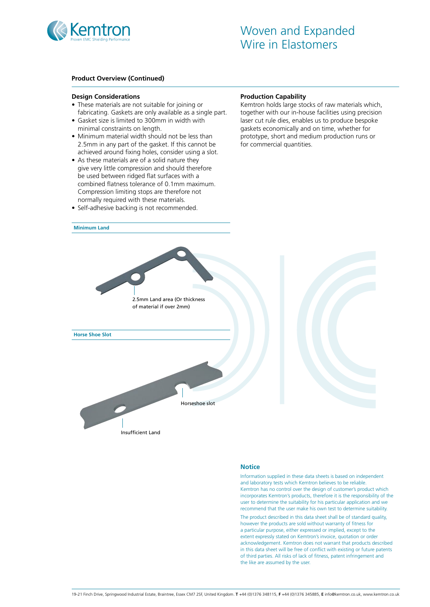

### **Product Overview (Continued)**

#### **Design Considerations**

- These materials are not suitable for joining or fabricating. Gaskets are only available as a single part.
- Gasket size is limited to 300mm in width with minimal constraints on length.
- Minimum material width should not be less than 2.5mm in any part of the gasket. If this cannot be achieved around fixing holes, consider using a slot.
- As these materials are of a solid nature they give very little compression and should therefore be used between ridged flat surfaces with a combined flatness tolerance of 0.1mm maximum. Compression limiting stops are therefore not normally required with these materials.
- Self-adhesive backing is not recommended.

#### **Production Capability**

Kemtron holds large stocks of raw materials which, together with our in-house facilities using precision laser cut rule dies, enables us to produce bespoke gaskets economically and on time, whether for prototype, short and medium production runs or for commercial quantities.



#### **Notice**

Information supplied in these data sheets is based on independent and laboratory tests which Kemtron believes to be reliable. Kemtron has no control over the design of customer's product which incorporates Kemtron's products, therefore it is the responsibility of the user to determine the suitability for his particular application and we recommend that the user make his own test to determine suitability. The product described in this data sheet shall be of standard quality, however the products are sold without warranty of fitness for a particular purpose, either expressed or implied, except to the extent expressly stated on Kemtron's invoice, quotation or order acknowledgement. Kemtron does not warrant that products described in this data sheet will be free of conflict with existing or future patents

of third parties. All risks of lack of fitness, patent infringement and

the like are assumed by the user.